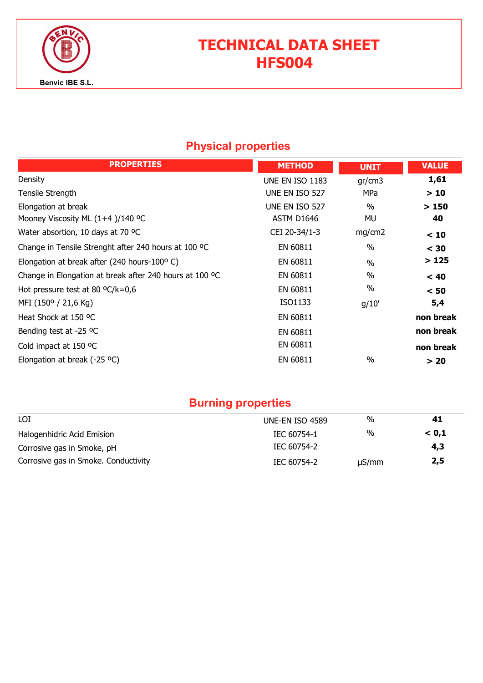

# TECHNICAL DATA SHEET HFS004

## Physical properties

| <b>PROPERTIES</b>                                       | <b>METHOD</b>   | <b>UNIT</b>   | <b>VALUE</b> |
|---------------------------------------------------------|-----------------|---------------|--------------|
| Density                                                 | UNE EN ISO 1183 | gr/cm3        | 1,61         |
| Tensile Strength                                        | UNE EN ISO 527  | MPa           | >10          |
| Elongation at break                                     | UNE EN ISO 527  | $\%$          | >150         |
| Mooney Viscosity ML $(1+4)/140$ °C                      | ASTM D1646      | MU            | 40           |
| Water absortion, 10 days at 70 °C                       | CEI 20-34/1-3   | mg/cm2        | < 10         |
| Change in Tensile Strenght after 240 hours at 100 °C    | EN 60811        | $\frac{0}{0}$ | $<$ 30       |
| Elongation at break after (240 hours-100°C)             | EN 60811        | $\frac{0}{0}$ | >125         |
| Change in Elongation at break after 240 hours at 100 °C | EN 60811        | $\frac{0}{0}$ | < 40         |
| Hot pressure test at 80 $^{\circ}$ C/k=0,6              | EN 60811        | $\%$          | < 50         |
| MFI (150° / 21,6 Kg)                                    | ISO1133         | g/10'         | 5,4          |
| Heat Shock at 150 °C                                    | EN 60811        |               | non break    |
| Bending test at -25 °C                                  | EN 60811        |               | non break    |
| Cold impact at 150 °C                                   | EN 60811        |               | non break    |
| Elongation at break (-25 $^{\circ}$ C)                  | EN 60811        | $\frac{0}{0}$ | > 20         |

## Burning properties

| LOI                                  | UNE-EN ISO 4589 | $\%$       | 41    |
|--------------------------------------|-----------------|------------|-------|
| Halogenhidric Acid Emision           | IEC 60754-1     | %          | < 0.1 |
| Corrosive gas in Smoke, pH           | IEC 60754-2     |            | 4,3   |
| Corrosive gas in Smoke. Conductivity | IEC 60754-2     | $\mu S/mm$ | 2,5   |